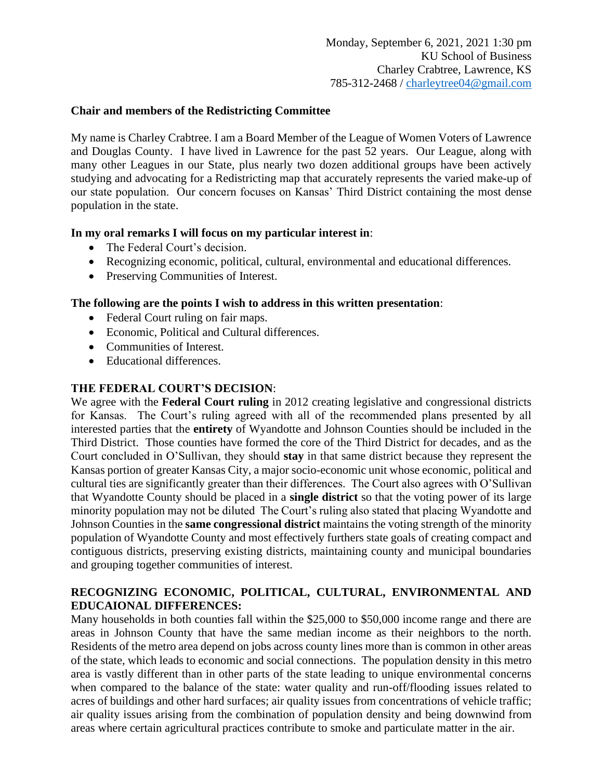# **Chair and members of the Redistricting Committee**

My name is Charley Crabtree. I am a Board Member of the League of Women Voters of Lawrence and Douglas County. I have lived in Lawrence for the past 52 years. Our League, along with many other Leagues in our State, plus nearly two dozen additional groups have been actively studying and advocating for a Redistricting map that accurately represents the varied make-up of our state population. Our concern focuses on Kansas' Third District containing the most dense population in the state.

# **In my oral remarks I will focus on my particular interest in**:

- The Federal Court's decision.
- Recognizing economic, political, cultural, environmental and educational differences.
- Preserving Communities of Interest.

# **The following are the points I wish to address in this written presentation**:

- Federal Court ruling on fair maps.
- Economic, Political and Cultural differences.
- Communities of Interest.
- Educational differences.

# **THE FEDERAL COURT'S DECISION**:

We agree with the **Federal Court ruling** in 2012 creating legislative and congressional districts for Kansas. The Court's ruling agreed with all of the recommended plans presented by all interested parties that the **entirety** of Wyandotte and Johnson Counties should be included in the Third District. Those counties have formed the core of the Third District for decades, and as the Court concluded in O'Sullivan, they should **stay** in that same district because they represent the Kansas portion of greater Kansas City, a major socio-economic unit whose economic, political and cultural ties are significantly greater than their differences. The Court also agrees with O'Sullivan that Wyandotte County should be placed in a **single district** so that the voting power of its large minority population may not be diluted The Court's ruling also stated that placing Wyandotte and Johnson Counties in the **same congressional district** maintains the voting strength of the minority population of Wyandotte County and most effectively furthers state goals of creating compact and contiguous districts, preserving existing districts, maintaining county and municipal boundaries and grouping together communities of interest.

# **RECOGNIZING ECONOMIC, POLITICAL, CULTURAL, ENVIRONMENTAL AND EDUCAIONAL DIFFERENCES:**

Many households in both counties fall within the \$25,000 to \$50,000 income range and there are areas in Johnson County that have the same median income as their neighbors to the north. Residents of the metro area depend on jobs across county lines more than is common in other areas of the state, which leads to economic and social connections. The population density in this metro area is vastly different than in other parts of the state leading to unique environmental concerns when compared to the balance of the state: water quality and run-off/flooding issues related to acres of buildings and other hard surfaces; air quality issues from concentrations of vehicle traffic; air quality issues arising from the combination of population density and being downwind from areas where certain agricultural practices contribute to smoke and particulate matter in the air.